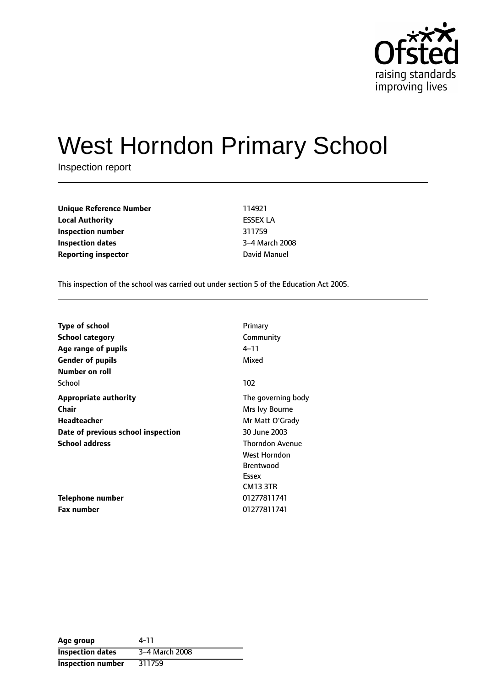

# West Horndon Primary School

Inspection report

| <b>Unique Reference Number</b> | 114921          |
|--------------------------------|-----------------|
| <b>Local Authority</b>         | <b>ESSEX LA</b> |
| Inspection number              | 311759          |
| <b>Inspection dates</b>        | 3-4 March 200   |
| <b>Reporting inspector</b>     | David Manuel    |

**Unique Reference Number** 114921 **Local Authority** ESSEX LA **3-4 March 2008** 

This inspection of the school was carried out under section 5 of the Education Act 2005.

| <b>Type of school</b>              | Primary                |
|------------------------------------|------------------------|
| <b>School category</b>             | Community              |
| Age range of pupils                | 4–11                   |
| <b>Gender of pupils</b>            | Mixed                  |
| Number on roll                     |                        |
| School                             | 102                    |
| Appropriate authority              | The governing body     |
| Chair                              | Mrs Ivy Bourne         |
| <b>Headteacher</b>                 | Mr Matt O'Grady        |
| Date of previous school inspection | 30 June 2003           |
| <b>School address</b>              | <b>Thorndon Avenue</b> |
|                                    | West Horndon           |
|                                    | <b>Brentwood</b>       |
|                                    | Essex                  |
|                                    | <b>CM13 3TR</b>        |
| Telephone number                   | 01277811741            |
| <b>Fax number</b>                  | 01277811741            |

| Age group                | 4-11           |
|--------------------------|----------------|
| <b>Inspection dates</b>  | 3-4 March 2008 |
| <b>Inspection number</b> | 311759         |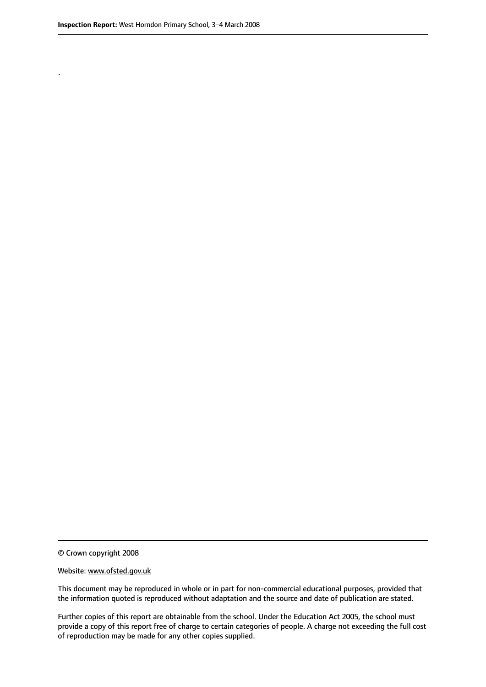.

© Crown copyright 2008

#### Website: www.ofsted.gov.uk

This document may be reproduced in whole or in part for non-commercial educational purposes, provided that the information quoted is reproduced without adaptation and the source and date of publication are stated.

Further copies of this report are obtainable from the school. Under the Education Act 2005, the school must provide a copy of this report free of charge to certain categories of people. A charge not exceeding the full cost of reproduction may be made for any other copies supplied.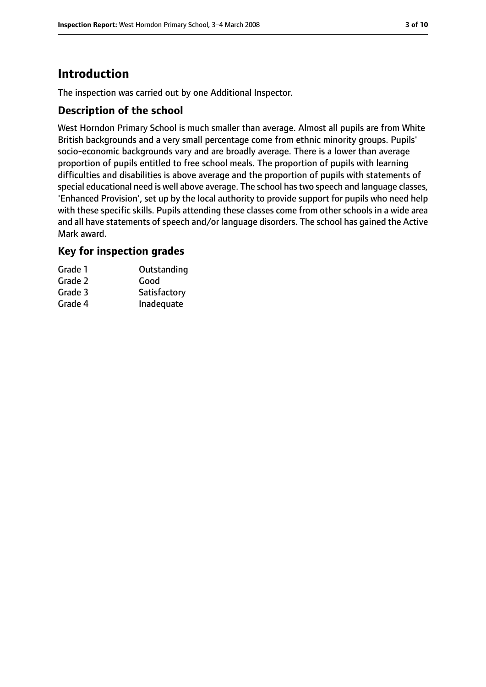# **Introduction**

The inspection was carried out by one Additional Inspector.

## **Description of the school**

West Horndon Primary School is much smaller than average. Almost all pupils are from White British backgrounds and a very small percentage come from ethnic minority groups. Pupils' socio-economic backgrounds vary and are broadly average. There is a lower than average proportion of pupils entitled to free school meals. The proportion of pupils with learning difficulties and disabilities is above average and the proportion of pupils with statements of special educational need is well above average. The school has two speech and language classes, 'Enhanced Provision', set up by the local authority to provide support for pupils who need help with these specific skills. Pupils attending these classes come from other schools in a wide area and all have statements of speech and/or language disorders. The school has gained the Active Mark award.

## **Key for inspection grades**

| Grade 1 | Outstanding  |
|---------|--------------|
| Grade 2 | Good         |
| Grade 3 | Satisfactory |
| Grade 4 | Inadequate   |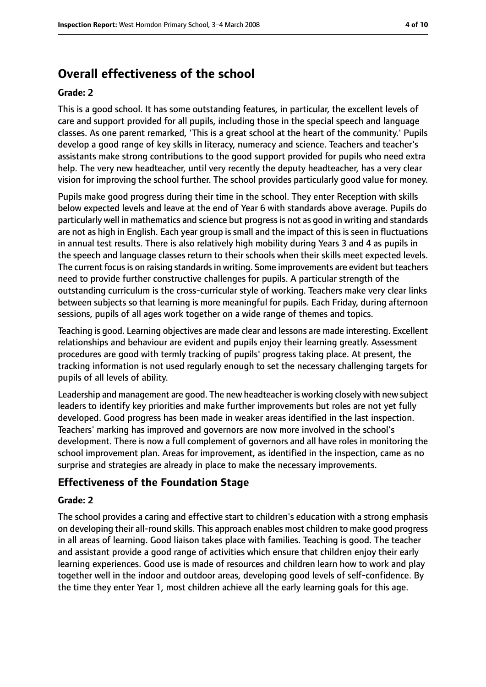# **Overall effectiveness of the school**

#### **Grade: 2**

This is a good school. It has some outstanding features, in particular, the excellent levels of care and support provided for all pupils, including those in the special speech and language classes. As one parent remarked, 'This is a great school at the heart of the community.' Pupils develop a good range of key skills in literacy, numeracy and science. Teachers and teacher's assistants make strong contributions to the good support provided for pupils who need extra help. The very new headteacher, until very recently the deputy headteacher, has a very clear vision for improving the school further. The school provides particularly good value for money.

Pupils make good progress during their time in the school. They enter Reception with skills below expected levels and leave at the end of Year 6 with standards above average. Pupils do particularly well in mathematics and science but progressis not as good in writing and standards are not as high in English. Each year group is small and the impact of this is seen in fluctuations in annual test results. There is also relatively high mobility during Years 3 and 4 as pupils in the speech and language classes return to their schools when their skills meet expected levels. The current focus is on raising standards in writing. Some improvements are evident but teachers need to provide further constructive challenges for pupils. A particular strength of the outstanding curriculum is the cross-curricular style of working. Teachers make very clear links between subjects so that learning is more meaningful for pupils. Each Friday, during afternoon sessions, pupils of all ages work together on a wide range of themes and topics.

Teaching is good. Learning objectives are made clear and lessons are made interesting. Excellent relationships and behaviour are evident and pupils enjoy their learning greatly. Assessment procedures are good with termly tracking of pupils' progress taking place. At present, the tracking information is not used regularly enough to set the necessary challenging targets for pupils of all levels of ability.

Leadership and management are good. The new headteacher is working closely with new subject leaders to identify key priorities and make further improvements but roles are not yet fully developed. Good progress has been made in weaker areas identified in the last inspection. Teachers' marking has improved and governors are now more involved in the school's development. There is now a full complement of governors and all have roles in monitoring the school improvement plan. Areas for improvement, as identified in the inspection, came as no surprise and strategies are already in place to make the necessary improvements.

# **Effectiveness of the Foundation Stage**

#### **Grade: 2**

The school provides a caring and effective start to children's education with a strong emphasis on developing their all-round skills. This approach enables most children to make good progress in all areas of learning. Good liaison takes place with families. Teaching is good. The teacher and assistant provide a good range of activities which ensure that children enjoy their early learning experiences. Good use is made of resources and children learn how to work and play together well in the indoor and outdoor areas, developing good levels of self-confidence. By the time they enter Year 1, most children achieve all the early learning goals for this age.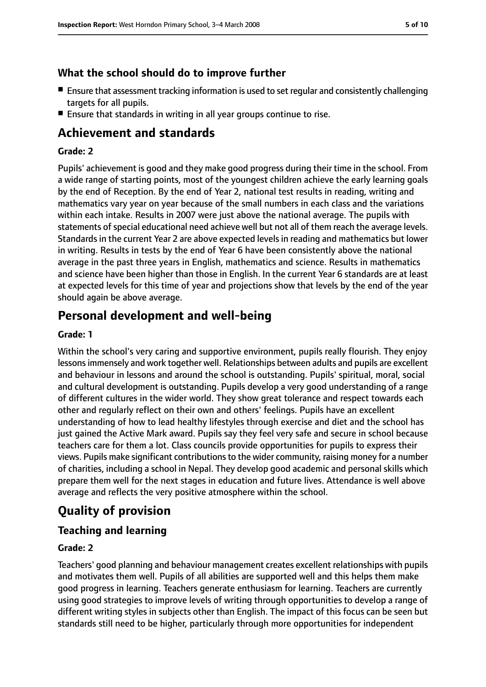## **What the school should do to improve further**

- Ensure that assessment tracking information is used to set regular and consistently challenging targets for all pupils.
- Ensure that standards in writing in all year groups continue to rise.

# **Achievement and standards**

#### **Grade: 2**

Pupils' achievement is good and they make good progress during their time in the school. From a wide range of starting points, most of the youngest children achieve the early learning goals by the end of Reception. By the end of Year 2, national test results in reading, writing and mathematics vary year on year because of the small numbers in each class and the variations within each intake. Results in 2007 were just above the national average. The pupils with statements of special educational need achieve well but not all of them reach the average levels. Standards in the current Year 2 are above expected levels in reading and mathematics but lower in writing. Results in tests by the end of Year 6 have been consistently above the national average in the past three years in English, mathematics and science. Results in mathematics and science have been higher than those in English. In the current Year 6 standards are at least at expected levels for this time of year and projections show that levels by the end of the year should again be above average.

# **Personal development and well-being**

#### **Grade: 1**

Within the school's very caring and supportive environment, pupils really flourish. They enjoy lessonsimmensely and work together well. Relationships between adults and pupils are excellent and behaviour in lessons and around the school is outstanding. Pupils' spiritual, moral, social and cultural development is outstanding. Pupils develop a very good understanding of a range of different cultures in the wider world. They show great tolerance and respect towards each other and regularly reflect on their own and others' feelings. Pupils have an excellent understanding of how to lead healthy lifestyles through exercise and diet and the school has just gained the Active Mark award. Pupils say they feel very safe and secure in school because teachers care for them a lot. Class councils provide opportunities for pupils to express their views. Pupils make significant contributionsto the wider community, raising money for a number of charities, including a school in Nepal. They develop good academic and personal skills which prepare them well for the next stages in education and future lives. Attendance is well above average and reflects the very positive atmosphere within the school.

# **Quality of provision**

# **Teaching and learning**

#### **Grade: 2**

Teachers' good planning and behaviour management creates excellent relationships with pupils and motivates them well. Pupils of all abilities are supported well and this helps them make good progress in learning. Teachers generate enthusiasm for learning. Teachers are currently using good strategies to improve levels of writing through opportunities to develop a range of different writing styles in subjects other than English. The impact of this focus can be seen but standards still need to be higher, particularly through more opportunities for independent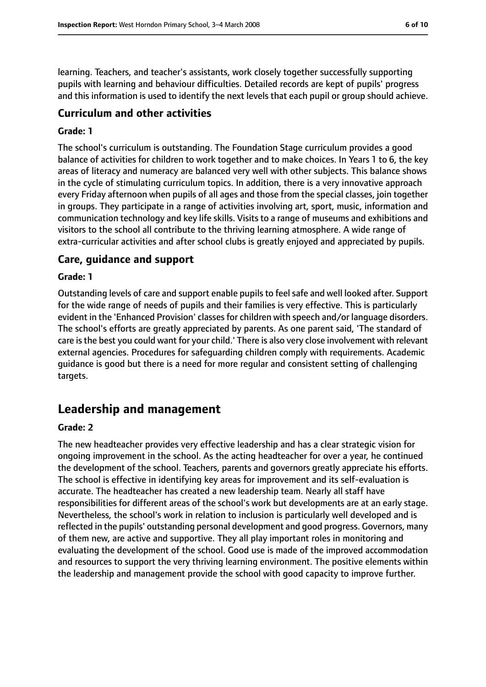learning. Teachers, and teacher's assistants, work closely together successfully supporting pupils with learning and behaviour difficulties. Detailed records are kept of pupils' progress and this information is used to identify the next levels that each pupil or group should achieve.

## **Curriculum and other activities**

#### **Grade: 1**

The school's curriculum is outstanding. The Foundation Stage curriculum provides a good balance of activities for children to work together and to make choices. In Years 1 to 6, the key areas of literacy and numeracy are balanced very well with other subjects. This balance shows in the cycle of stimulating curriculum topics. In addition, there is a very innovative approach every Friday afternoon when pupils of all ages and those from the special classes, join together in groups. They participate in a range of activities involving art, sport, music, information and communication technology and key life skills. Visits to a range of museums and exhibitions and visitors to the school all contribute to the thriving learning atmosphere. A wide range of extra-curricular activities and after school clubs is greatly enjoyed and appreciated by pupils.

#### **Care, guidance and support**

#### **Grade: 1**

Outstanding levels of care and support enable pupils to feel safe and well looked after. Support for the wide range of needs of pupils and their families is very effective. This is particularly evident in the 'Enhanced Provision' classes for children with speech and/or language disorders. The school's efforts are greatly appreciated by parents. As one parent said, 'The standard of care is the best you could want for your child.' There is also very close involvement with relevant external agencies. Procedures for safeguarding children comply with requirements. Academic guidance is good but there is a need for more regular and consistent setting of challenging targets.

# **Leadership and management**

#### **Grade: 2**

The new headteacher provides very effective leadership and has a clear strategic vision for ongoing improvement in the school. As the acting headteacher for over a year, he continued the development of the school. Teachers, parents and governors greatly appreciate his efforts. The school is effective in identifying key areas for improvement and its self-evaluation is accurate. The headteacher has created a new leadership team. Nearly all staff have responsibilities for different areas of the school's work but developments are at an early stage. Nevertheless, the school's work in relation to inclusion is particularly well developed and is reflected in the pupils' outstanding personal development and good progress. Governors, many of them new, are active and supportive. They all play important roles in monitoring and evaluating the development of the school. Good use is made of the improved accommodation and resources to support the very thriving learning environment. The positive elements within the leadership and management provide the school with good capacity to improve further.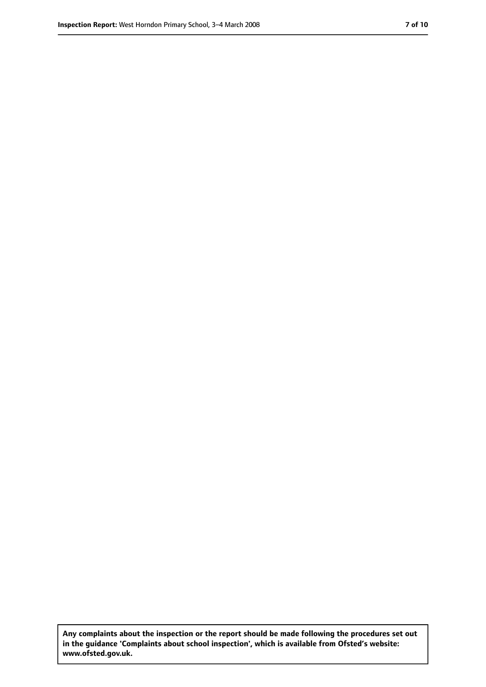**Any complaints about the inspection or the report should be made following the procedures set out in the guidance 'Complaints about school inspection', which is available from Ofsted's website: www.ofsted.gov.uk.**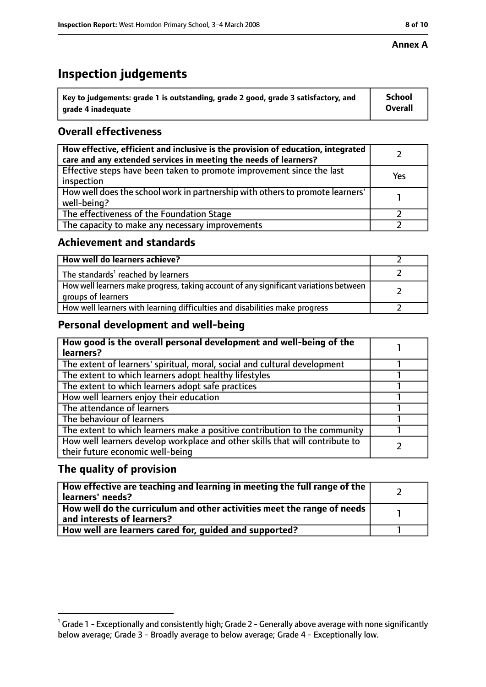#### **Annex A**

# **Inspection judgements**

| $^{\backprime}$ Key to judgements: grade 1 is outstanding, grade 2 good, grade 3 satisfactory, and | <b>School</b>  |
|----------------------------------------------------------------------------------------------------|----------------|
| arade 4 inadequate                                                                                 | <b>Overall</b> |

# **Overall effectiveness**

| How effective, efficient and inclusive is the provision of education, integrated<br>care and any extended services in meeting the needs of learners? |     |
|------------------------------------------------------------------------------------------------------------------------------------------------------|-----|
| Effective steps have been taken to promote improvement since the last<br>inspection                                                                  | Yes |
| How well does the school work in partnership with others to promote learners'<br>well-being?                                                         |     |
| The effectiveness of the Foundation Stage                                                                                                            |     |
| The capacity to make any necessary improvements                                                                                                      |     |

## **Achievement and standards**

| How well do learners achieve?                                                                               |  |
|-------------------------------------------------------------------------------------------------------------|--|
| The standards <sup>1</sup> reached by learners                                                              |  |
| How well learners make progress, taking account of any significant variations between<br>groups of learners |  |
| How well learners with learning difficulties and disabilities make progress                                 |  |

# **Personal development and well-being**

| How good is the overall personal development and well-being of the<br>learners?                                  |  |
|------------------------------------------------------------------------------------------------------------------|--|
| The extent of learners' spiritual, moral, social and cultural development                                        |  |
| The extent to which learners adopt healthy lifestyles                                                            |  |
| The extent to which learners adopt safe practices                                                                |  |
| How well learners enjoy their education                                                                          |  |
| The attendance of learners                                                                                       |  |
| The behaviour of learners                                                                                        |  |
| The extent to which learners make a positive contribution to the community                                       |  |
| How well learners develop workplace and other skills that will contribute to<br>their future economic well-being |  |

# **The quality of provision**

| How effective are teaching and learning in meeting the full range of the<br>learners' needs?          |  |
|-------------------------------------------------------------------------------------------------------|--|
| How well do the curriculum and other activities meet the range of needs<br>and interests of learners? |  |
| How well are learners cared for, quided and supported?                                                |  |

 $^1$  Grade 1 - Exceptionally and consistently high; Grade 2 - Generally above average with none significantly below average; Grade 3 - Broadly average to below average; Grade 4 - Exceptionally low.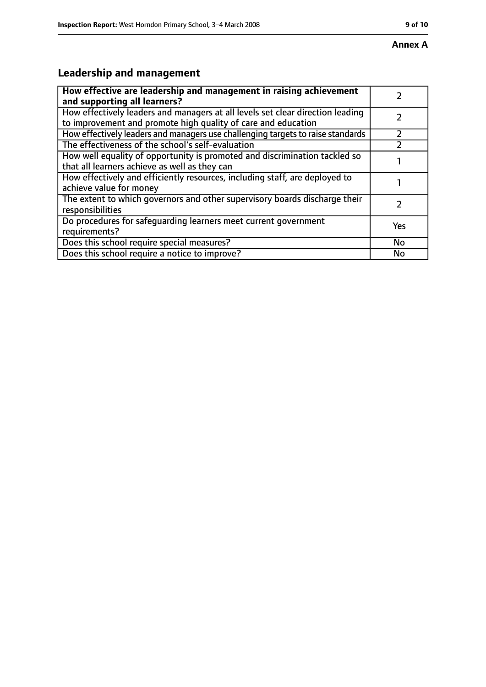# **Leadership and management**

| How effective are leadership and management in raising achievement<br>and supporting all learners?                                              |     |
|-------------------------------------------------------------------------------------------------------------------------------------------------|-----|
| How effectively leaders and managers at all levels set clear direction leading<br>to improvement and promote high quality of care and education |     |
| How effectively leaders and managers use challenging targets to raise standards                                                                 |     |
| The effectiveness of the school's self-evaluation                                                                                               |     |
| How well equality of opportunity is promoted and discrimination tackled so<br>that all learners achieve as well as they can                     |     |
| How effectively and efficiently resources, including staff, are deployed to<br>achieve value for money                                          |     |
| The extent to which governors and other supervisory boards discharge their<br>responsibilities                                                  |     |
| Do procedures for safequarding learners meet current government<br>requirements?                                                                | Yes |
| Does this school require special measures?                                                                                                      | No  |
| Does this school require a notice to improve?                                                                                                   | No  |